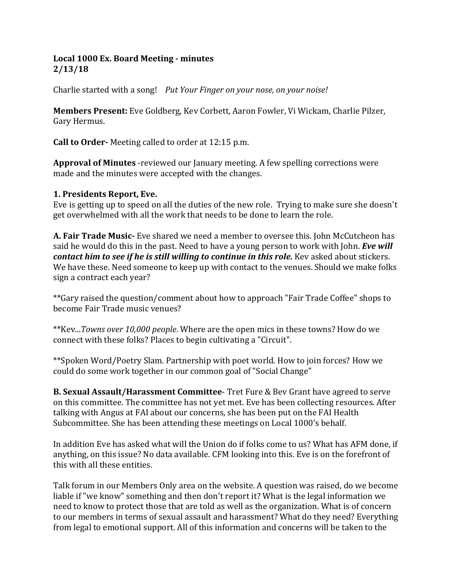### **Local 1000 Ex. Board Meeting - minutes 2/13/18**

Charlie started with a song! *Put Your Finger on your nose, on your noise!*

**Members Present:** Eve Goldberg, Kev Corbett, Aaron Fowler, Vi Wickam, Charlie Pilzer, Gary Hermus.

**Call to Order-** Meeting called to order at 12:15 p.m.

**Approval of Minutes** -reviewed our January meeting. A few spelling corrections were made and the minutes were accepted with the changes.

#### **1. Presidents Report, Eve.**

Eve is getting up to speed on all the duties of the new role. Trying to make sure she doesn't get overwhelmed with all the work that needs to be done to learn the role.

**A. Fair Trade Music-** Eve shared we need a member to oversee this. John McCutcheon has said he would do this in the past. Need to have a young person to work with John. *Eve will contact him to see if he is still willing to continue in this role.* Kev asked about stickers. We have these. Need someone to keep up with contact to the venues. Should we make folks sign a contract each year?

\*\*Gary raised the question/comment about how to approach "Fair Trade Coffee" shops to become Fair Trade music venues?

\*\*Kev...*Towns over 10,000 people*. Where are the open mics in these towns? How do we connect with these folks? Places to begin cultivating a "Circuit".

\*\*Spoken Word/Poetry Slam. Partnership with poet world. How to join forces? How we could do some work together in our common goal of "Social Change"

**B. Sexual Assault/Harassment Committee**- Tret Fure & Bev Grant have agreed to serve on this committee. The committee has not yet met. Eve has been collecting resources. After talking with Angus at FAI about our concerns, she has been put on the FAI Health Subcommittee. She has been attending these meetings on Local 1000's behalf.

In addition Eve has asked what will the Union do if folks come to us? What has AFM done, if anything, on this issue? No data available. CFM looking into this. Eve is on the forefront of this with all these entities.

Talk forum in our Members Only area on the website. A question was raised, do we become liable if "we know" something and then don't report it? What is the legal information we need to know to protect those that are told as well as the organization. What is of concern to our members in terms of sexual assault and harassment? What do they need? Everything from legal to emotional support. All of this information and concerns will be taken to the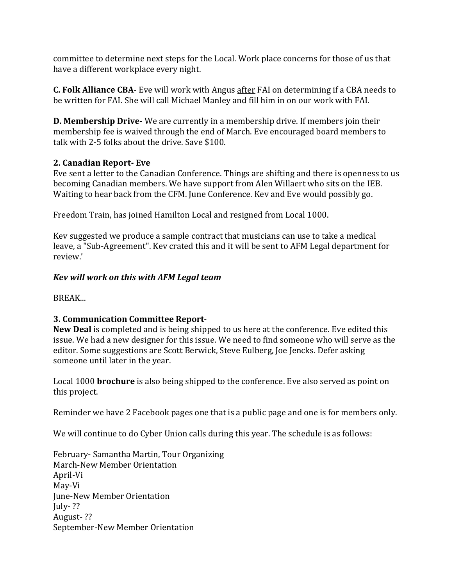committee to determine next steps for the Local. Work place concerns for those of us that have a different workplace every night.

**C. Folk Alliance CBA**- Eve will work with Angus after FAI on determining if a CBA needs to be written for FAI. She will call Michael Manley and fill him in on our work with FAI.

**D. Membership Drive-** We are currently in a membership drive. If members join their membership fee is waived through the end of March. Eve encouraged board members to talk with 2-5 folks about the drive. Save \$100.

# **2. Canadian Report- Eve**

Eve sent a letter to the Canadian Conference. Things are shifting and there is openness to us becoming Canadian members. We have support from Alen Willaert who sits on the IEB. Waiting to hear back from the CFM. June Conference. Kev and Eve would possibly go.

Freedom Train, has joined Hamilton Local and resigned from Local 1000.

Kev suggested we produce a sample contract that musicians can use to take a medical leave, a "Sub-Agreement". Kev crated this and it will be sent to AFM Legal department for review.'

# *Kev will work on this with AFM Legal team*

BREAK...

# **3. Communication Committee Report**-

**New Deal** is completed and is being shipped to us here at the conference. Eve edited this issue. We had a new designer for this issue. We need to find someone who will serve as the editor. Some suggestions are Scott Berwick, Steve Eulberg, Joe Jencks. Defer asking someone until later in the year.

Local 1000 **brochure** is also being shipped to the conference. Eve also served as point on this project.

Reminder we have 2 Facebook pages one that is a public page and one is for members only.

We will continue to do Cyber Union calls during this year. The schedule is as follows:

February- Samantha Martin, Tour Organizing March-New Member Orientation April-Vi May-Vi June-New Member Orientation July- ?? August- ?? September-New Member Orientation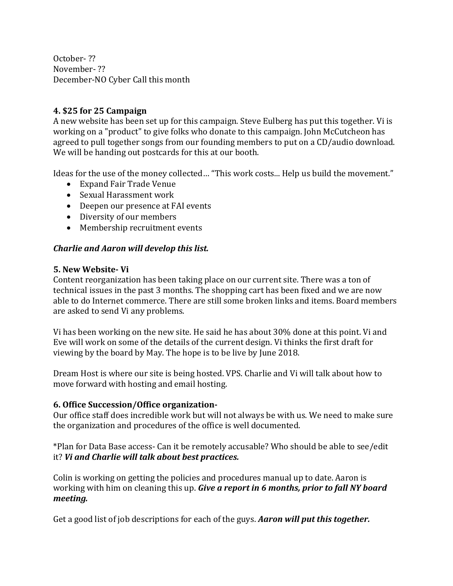October- ?? November- ?? December-NO Cyber Call this month

### **4. \$25 for 25 Campaign**

A new website has been set up for this campaign. Steve Eulberg has put this together. Vi is working on a "product" to give folks who donate to this campaign. John McCutcheon has agreed to pull together songs from our founding members to put on a CD/audio download. We will be handing out postcards for this at our booth.

Ideas for the use of the money collected… "This work costs... Help us build the movement."

- Expand Fair Trade Venue
- Sexual Harassment work
- Deepen our presence at FAI events
- Diversity of our members
- Membership recruitment events

### *Charlie and Aaron will develop this list.*

#### **5. New Website- Vi**

Content reorganization has been taking place on our current site. There was a ton of technical issues in the past 3 months. The shopping cart has been fixed and we are now able to do Internet commerce. There are still some broken links and items. Board members are asked to send Vi any problems.

Vi has been working on the new site. He said he has about 30% done at this point. Vi and Eve will work on some of the details of the current design. Vi thinks the first draft for viewing by the board by May. The hope is to be live by June 2018.

Dream Host is where our site is being hosted. VPS. Charlie and Vi will talk about how to move forward with hosting and email hosting.

#### **6. Office Succession/Office organization-**

Our office staff does incredible work but will not always be with us. We need to make sure the organization and procedures of the office is well documented.

\*Plan for Data Base access- Can it be remotely accusable? Who should be able to see/edit it? *Vi and Charlie will talk about best practices.*

Colin is working on getting the policies and procedures manual up to date. Aaron is working with him on cleaning this up. *Give a report in 6 months, prior to fall NY board meeting.* 

Get a good list of job descriptions for each of the guys. *Aaron will put this together.*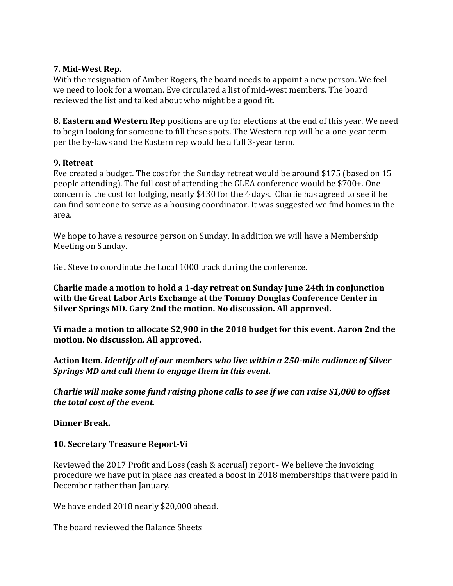#### **7. Mid-West Rep.**

With the resignation of Amber Rogers, the board needs to appoint a new person. We feel we need to look for a woman. Eve circulated a list of mid-west members. The board reviewed the list and talked about who might be a good fit.

**8. Eastern and Western Rep** positions are up for elections at the end of this year. We need to begin looking for someone to fill these spots. The Western rep will be a one-year term per the by-laws and the Eastern rep would be a full 3-year term.

### **9. Retreat**

Eve created a budget. The cost for the Sunday retreat would be around \$175 (based on 15 people attending). The full cost of attending the GLEA conference would be \$700+. One concern is the cost for lodging, nearly \$430 for the 4 days. Charlie has agreed to see if he can find someone to serve as a housing coordinator. It was suggested we find homes in the area.

We hope to have a resource person on Sunday. In addition we will have a Membership Meeting on Sunday.

Get Steve to coordinate the Local 1000 track during the conference.

**Charlie made a motion to hold a 1-day retreat on Sunday June 24th in conjunction with the Great Labor Arts Exchange at the Tommy Douglas Conference Center in Silver Springs MD. Gary 2nd the motion. No discussion. All approved.** 

**Vi made a motion to allocate \$2,900 in the 2018 budget for this event. Aaron 2nd the motion. No discussion. All approved.** 

**Action Item.** *Identify all of our members who live within a 250-mile radiance of Silver Springs MD and call them to engage them in this event.* 

*Charlie will make some fund raising phone calls to see if we can raise \$1,000 to offset the total cost of the event.*

**Dinner Break.**

### **10. Secretary Treasure Report-Vi**

Reviewed the 2017 Profit and Loss (cash & accrual) report - We believe the invoicing procedure we have put in place has created a boost in 2018 memberships that were paid in December rather than January.

We have ended 2018 nearly \$20,000 ahead.

The board reviewed the Balance Sheets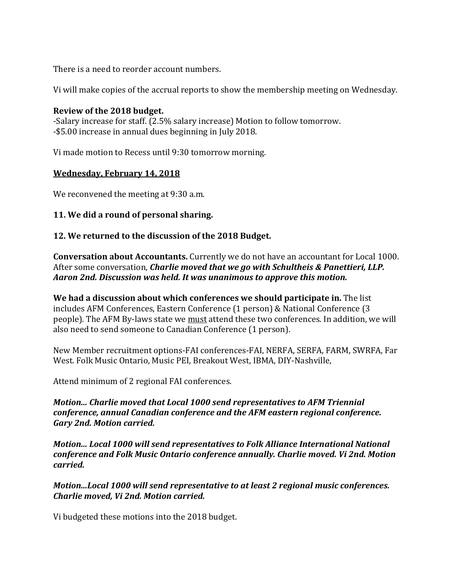There is a need to reorder account numbers.

Vi will make copies of the accrual reports to show the membership meeting on Wednesday.

#### **Review of the 2018 budget.**

-Salary increase for staff. (2.5% salary increase) Motion to follow tomorrow. -\$5.00 increase in annual dues beginning in July 2018.

Vi made motion to Recess until 9:30 tomorrow morning.

### **Wednesday, February 14, 2018**

We reconvened the meeting at 9:30 a.m.

### **11. We did a round of personal sharing.**

### **12. We returned to the discussion of the 2018 Budget.**

**Conversation about Accountants.** Currently we do not have an accountant for Local 1000. After some conversation, *Charlie moved that we go with Schultheis & Panettieri, LLP. Aaron 2nd. Discussion was held. It was unanimous to approve this motion.*

**We had a discussion about which conferences we should participate in.** The list includes AFM Conferences, Eastern Conference (1 person) & National Conference (3 people). The AFM By-laws state we must attend these two conferences. In addition, we will also need to send someone to Canadian Conference (1 person).

New Member recruitment options-FAI conferences-FAI, NERFA, SERFA, FARM, SWRFA, Far West. Folk Music Ontario, Music PEI, Breakout West, IBMA, DIY-Nashville,

Attend minimum of 2 regional FAI conferences.

#### *Motion... Charlie moved that Local 1000 send representatives to AFM Triennial conference, annual Canadian conference and the AFM eastern regional conference. Gary 2nd. Motion carried.*

*Motion... Local 1000 will send representatives to Folk Alliance International National conference and Folk Music Ontario conference annually. Charlie moved. Vi 2nd. Motion carried.* 

*Motion...Local 1000 will send representative to at least 2 regional music conferences. Charlie moved, Vi 2nd. Motion carried.* 

Vi budgeted these motions into the 2018 budget.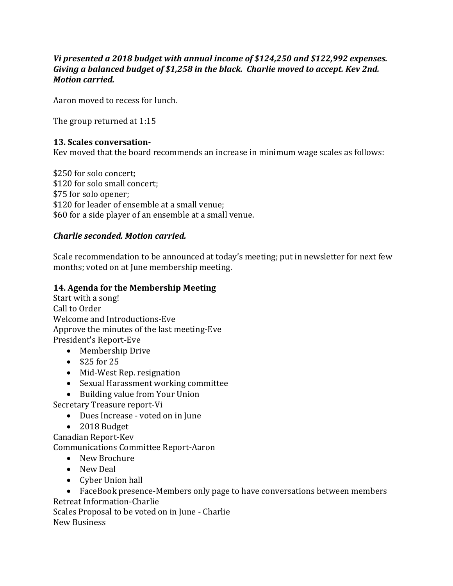### *Vi presented a 2018 budget with annual income of \$124,250 and \$122,992 expenses. Giving a balanced budget of \$1,258 in the black. Charlie moved to accept. Kev 2nd. Motion carried.*

Aaron moved to recess for lunch.

The group returned at 1:15

### **13. Scales conversation-**

Kev moved that the board recommends an increase in minimum wage scales as follows:

\$250 for solo concert; \$120 for solo small concert; \$75 for solo opener; \$120 for leader of ensemble at a small venue; \$60 for a side player of an ensemble at a small venue.

### *Charlie seconded. Motion carried.*

Scale recommendation to be announced at today's meeting; put in newsletter for next few months; voted on at June membership meeting.

#### **14. Agenda for the Membership Meeting**

- Start with a song! Call to Order Welcome and Introductions-Eve Approve the minutes of the last meeting-Eve President's Report-Eve
	- Membership Drive
	- $\bullet$  \$25 for 25
	- Mid-West Rep. resignation
	- Sexual Harassment working committee
	- Building value from Your Union

Secretary Treasure report-Vi

- Dues Increase voted on in June
- 2018 Budget
- Canadian Report-Kev

Communications Committee Report-Aaron

- New Brochure
- New Deal
- Cyber Union hall

 FaceBook presence-Members only page to have conversations between members Retreat Information-Charlie

Scales Proposal to be voted on in June - Charlie New Business